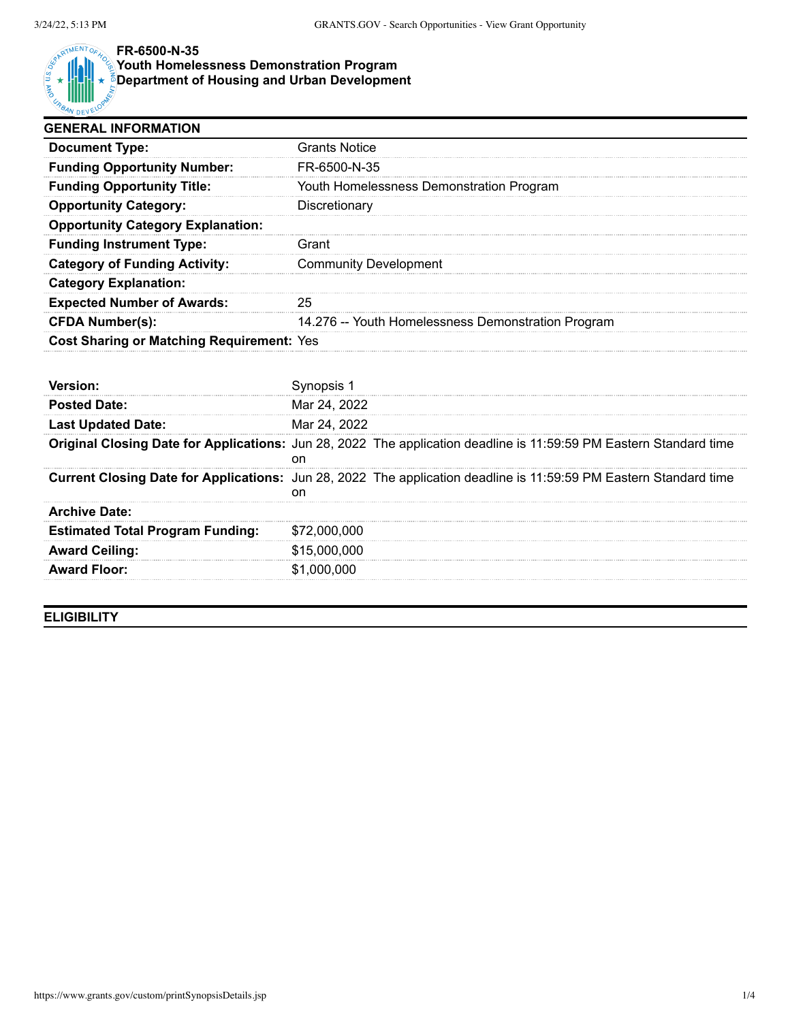

## **FR-6500-N-35**

## **Youth Homelessness Demonstration Program**

**Department of Housing and Urban Development**

| <b>GENERAL INFORMATION</b>                       |                                                                                                                          |  |  |
|--------------------------------------------------|--------------------------------------------------------------------------------------------------------------------------|--|--|
| <b>Document Type:</b>                            | <b>Grants Notice</b>                                                                                                     |  |  |
| <b>Funding Opportunity Number:</b>               | FR-6500-N-35                                                                                                             |  |  |
| <b>Funding Opportunity Title:</b>                | Youth Homelessness Demonstration Program                                                                                 |  |  |
| <b>Opportunity Category:</b>                     | Discretionary                                                                                                            |  |  |
| <b>Opportunity Category Explanation:</b>         |                                                                                                                          |  |  |
| <b>Funding Instrument Type:</b>                  | Grant                                                                                                                    |  |  |
| <b>Category of Funding Activity:</b>             | <b>Community Development</b>                                                                                             |  |  |
| <b>Category Explanation:</b>                     |                                                                                                                          |  |  |
| <b>Expected Number of Awards:</b>                | 25                                                                                                                       |  |  |
| <b>CFDA Number(s):</b>                           | 14.276 -- Youth Homelessness Demonstration Program                                                                       |  |  |
| <b>Cost Sharing or Matching Requirement: Yes</b> |                                                                                                                          |  |  |
| Version:                                         | Synopsis 1                                                                                                               |  |  |
| <b>Posted Date:</b>                              | Mar 24, 2022                                                                                                             |  |  |
| <b>Last Updated Date:</b>                        | Mar 24, 2022                                                                                                             |  |  |
|                                                  | Original Closing Date for Applications: Jun 28, 2022 The application deadline is 11:59:59 PM Eastern Standard time<br>on |  |  |
|                                                  | Current Closing Date for Applications: Jun 28, 2022 The application deadline is 11:59:59 PM Eastern Standard time        |  |  |
| Archive Date:                                    |                                                                                                                          |  |  |

| <b>Archive Date:</b>                    |              |
|-----------------------------------------|--------------|
| <b>Estimated Total Program Funding:</b> | \$72,000,000 |
| <b>Award Ceiling:</b>                   | \$15,000,000 |
| <b>Award Floor:</b>                     | \$1,000,000  |

**ELIGIBILITY**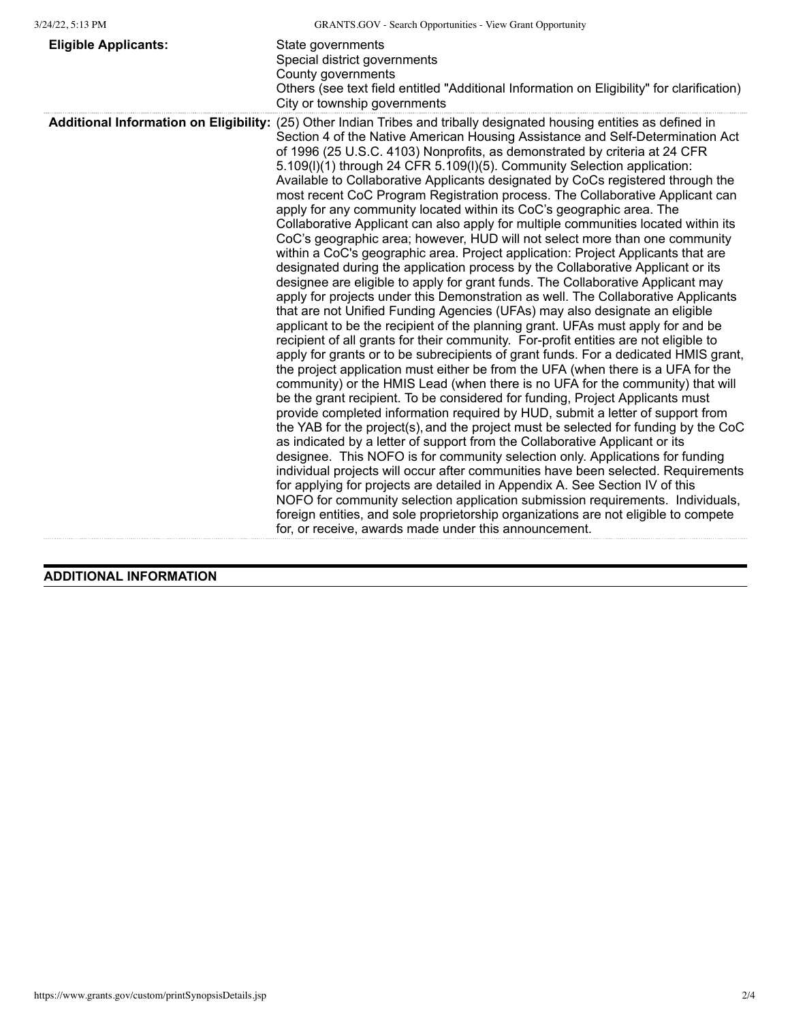| <b>Eligible Applicants:</b> | State governments<br>Special district governments<br>County governments<br>Others (see text field entitled "Additional Information on Eligibility" for clarification)<br>City or township governments                                                                                                                                                                                                                                                                                                                                                                                                                                                                                                                                                                                                                                                                                                                                                                                                                                                                                                                                                                                                                                                                                                                                                                                                                                                                                                                                                                                                                                                                                                                                                                                                                                                                                                                                                                                                                                                                                                                                                                                                                                                                                                                                                                                                                                                                                       |
|-----------------------------|---------------------------------------------------------------------------------------------------------------------------------------------------------------------------------------------------------------------------------------------------------------------------------------------------------------------------------------------------------------------------------------------------------------------------------------------------------------------------------------------------------------------------------------------------------------------------------------------------------------------------------------------------------------------------------------------------------------------------------------------------------------------------------------------------------------------------------------------------------------------------------------------------------------------------------------------------------------------------------------------------------------------------------------------------------------------------------------------------------------------------------------------------------------------------------------------------------------------------------------------------------------------------------------------------------------------------------------------------------------------------------------------------------------------------------------------------------------------------------------------------------------------------------------------------------------------------------------------------------------------------------------------------------------------------------------------------------------------------------------------------------------------------------------------------------------------------------------------------------------------------------------------------------------------------------------------------------------------------------------------------------------------------------------------------------------------------------------------------------------------------------------------------------------------------------------------------------------------------------------------------------------------------------------------------------------------------------------------------------------------------------------------------------------------------------------------------------------------------------------------|
|                             | Additional Information on Eligibility: (25) Other Indian Tribes and tribally designated housing entities as defined in<br>Section 4 of the Native American Housing Assistance and Self-Determination Act<br>of 1996 (25 U.S.C. 4103) Nonprofits, as demonstrated by criteria at 24 CFR<br>5.109(I)(1) through 24 CFR 5.109(I)(5). Community Selection application:<br>Available to Collaborative Applicants designated by CoCs registered through the<br>most recent CoC Program Registration process. The Collaborative Applicant can<br>apply for any community located within its CoC's geographic area. The<br>Collaborative Applicant can also apply for multiple communities located within its<br>CoC's geographic area; however, HUD will not select more than one community<br>within a CoC's geographic area. Project application: Project Applicants that are<br>designated during the application process by the Collaborative Applicant or its<br>designee are eligible to apply for grant funds. The Collaborative Applicant may<br>apply for projects under this Demonstration as well. The Collaborative Applicants<br>that are not Unified Funding Agencies (UFAs) may also designate an eligible<br>applicant to be the recipient of the planning grant. UFAs must apply for and be<br>recipient of all grants for their community. For-profit entities are not eligible to<br>apply for grants or to be subrecipients of grant funds. For a dedicated HMIS grant,<br>the project application must either be from the UFA (when there is a UFA for the<br>community) or the HMIS Lead (when there is no UFA for the community) that will<br>be the grant recipient. To be considered for funding, Project Applicants must<br>provide completed information required by HUD, submit a letter of support from<br>the YAB for the project(s), and the project must be selected for funding by the CoC<br>as indicated by a letter of support from the Collaborative Applicant or its<br>designee. This NOFO is for community selection only. Applications for funding<br>individual projects will occur after communities have been selected. Requirements<br>for applying for projects are detailed in Appendix A. See Section IV of this<br>NOFO for community selection application submission requirements. Individuals,<br>foreign entities, and sole proprietorship organizations are not eligible to compete<br>for, or receive, awards made under this announcement. |

## **ADDITIONAL INFORMATION**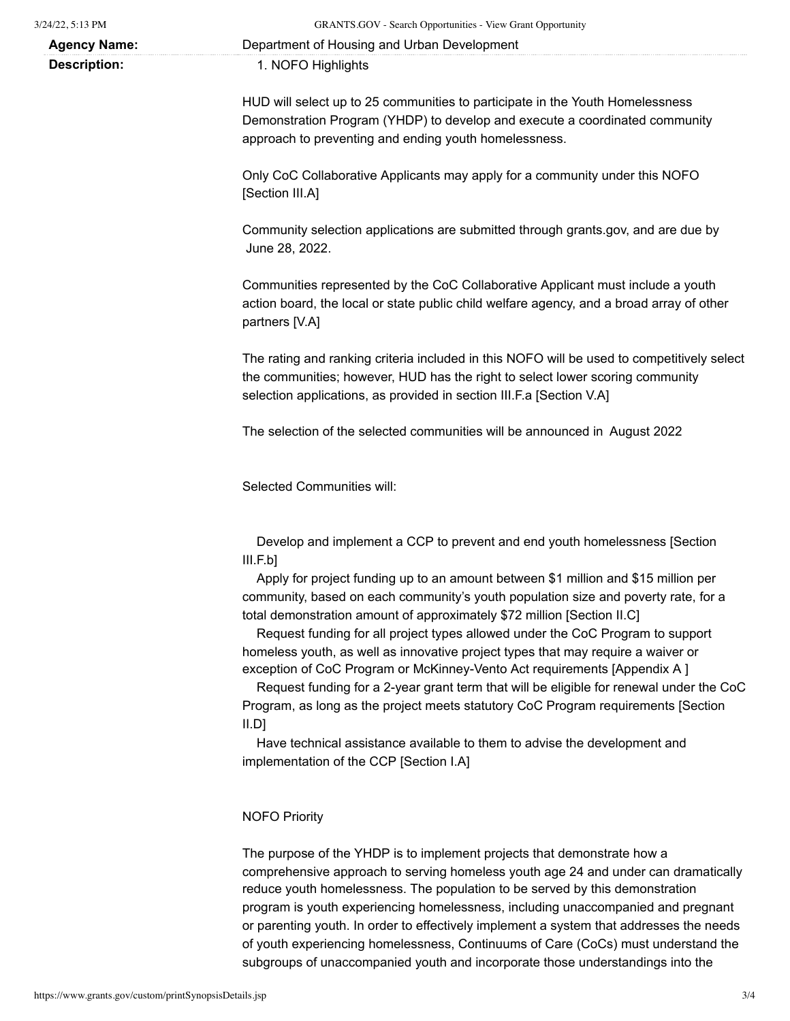| $3/24/22$ , 5:13 PM |  |
|---------------------|--|
|                     |  |

**Agency Name:** Department of Housing and Urban Development

**Description:** 1. NOFO Highlights

HUD will select up to 25 communities to participate in the Youth Homelessness Demonstration Program (YHDP) to develop and execute a coordinated community approach to preventing and ending youth homelessness.

Only CoC Collaborative Applicants may apply for a community under this NOFO [Section III.A]

Community selection applications are submitted through grants.gov, and are due by June 28, 2022.

Communities represented by the CoC Collaborative Applicant must include a youth action board, the local or state public child welfare agency, and a broad array of other partners [V.A]

The rating and ranking criteria included in this NOFO will be used to competitively select the communities; however, HUD has the right to select lower scoring community selection applications, as provided in section III.F.a [Section V.A]

The selection of the selected communities will be announced in August 2022

Selected Communities will:

Develop and implement a CCP to prevent and end youth homelessness [Section III.F.b]

Apply for project funding up to an amount between \$1 million and \$15 million per community, based on each community's youth population size and poverty rate, for a total demonstration amount of approximately \$72 million [Section II.C]

Request funding for all project types allowed under the CoC Program to support homeless youth, as well as innovative project types that may require a waiver or exception of CoC Program or McKinney-Vento Act requirements [Appendix A ]

Request funding for a 2-year grant term that will be eligible for renewal under the CoC Program, as long as the project meets statutory CoC Program requirements [Section II.D]

Have technical assistance available to them to advise the development and implementation of the CCP [Section I.A]

## NOFO Priority

The purpose of the YHDP is to implement projects that demonstrate how a comprehensive approach to serving homeless youth age 24 and under can dramatically reduce youth homelessness. The population to be served by this demonstration program is youth experiencing homelessness, including unaccompanied and pregnant or parenting youth. In order to effectively implement a system that addresses the needs of youth experiencing homelessness, Continuums of Care (CoCs) must understand the subgroups of unaccompanied youth and incorporate those understandings into the